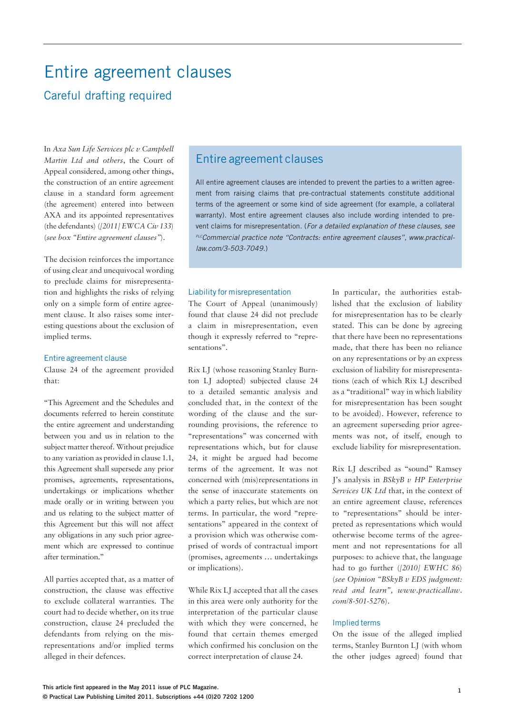# Entire agreement clauses

## Careful drafting required

In *Axa Sun Life Services plc v Campbell Martin Ltd and others*, the Court of Appeal considered, among other things, the construction of an entire agreement clause in a standard form agreement (the agreement) entered into between AXA and its appointed representatives (the defendants) (*[2011] EWCA Civ 133*) (*see box "Entire agreement clauses"*).

The decision reinforces the importance of using clear and unequivocal wording to preclude claims for misrepresentation and highlights the risks of relying only on a simple form of entire agreement clause. It also raises some interesting questions about the exclusion of implied terms.

### Entire agreement clause

Clause 24 of the agreement provided that:

"This Agreement and the Schedules and documents referred to herein constitute the entire agreement and understanding between you and us in relation to the subject matter thereof. Without prejudice to any variation as provided in clause 1.1, this Agreement shall supersede any prior promises, agreements, representations, undertakings or implications whether made orally or in writing between you and us relating to the subject matter of this Agreement but this will not affect any obligations in any such prior agreement which are expressed to continue after termination."

All parties accepted that, as a matter of construction, the clause was effective to exclude collateral warranties. The court had to decide whether, on its true construction, clause 24 precluded the defendants from relying on the misrepresentations and/or implied terms alleged in their defences.

### Entire agreement clauses

All entire agreement clauses are intended to prevent the parties to a written agreement from raising claims that pre-contractual statements constitute additional terms of the agreement or some kind of side agreement (for example, a collateral warranty). Most entire agreement clauses also include wording intended to prevent claims for misrepresentation. (*For a detailed explanation of these clauses, see PLC*Commercial practice note "Contracts: entire agreement clauses", www.practical*law.com/3-503-7049.*)

### Liability for misrepresentation

The Court of Appeal (unanimously) found that clause 24 did not preclude a claim in misrepresentation, even though it expressly referred to "representations".

Rix LJ (whose reasoning Stanley Burnton LJ adopted) subjected clause 24 to a detailed semantic analysis and concluded that, in the context of the wording of the clause and the surrounding provisions, the reference to "representations" was concerned with representations which, but for clause 24, it might be argued had become terms of the agreement. It was not concerned with (mis)representations in the sense of inaccurate statements on which a party relies, but which are not terms. In particular, the word "representations" appeared in the context of a provision which was otherwise comprised of words of contractual import (promises, agreements … undertakings or implications).

While Rix LJ accepted that all the cases in this area were only authority for the interpretation of the particular clause with which they were concerned, he found that certain themes emerged which confirmed his conclusion on the correct interpretation of clause 24.

In particular, the authorities established that the exclusion of liability for misrepresentation has to be clearly stated. This can be done by agreeing that there have been no representations made, that there has been no reliance on any representations or by an express exclusion of liability for misrepresentations (each of which Rix LJ described as a "traditional" way in which liability for misrepresentation has been sought to be avoided). However, reference to an agreement superseding prior agreements was not, of itself, enough to exclude liability for misrepresentation.

Rix LJ described as "sound" Ramsey J's analysis in *BSkyB v HP Enterprise Services UK Ltd* that, in the context of an entire agreement clause, references to "representations" should be interpreted as representations which would otherwise become terms of the agreement and not representations for all purposes: to achieve that, the language had to go further (*[2010] EWHC 86*) (*see Opinion "BSkyB v EDS judgment: read and learn", www.practicallaw. com/8-501-5276*).

### Implied terms

On the issue of the alleged implied terms, Stanley Burnton LJ (with whom the other judges agreed) found that